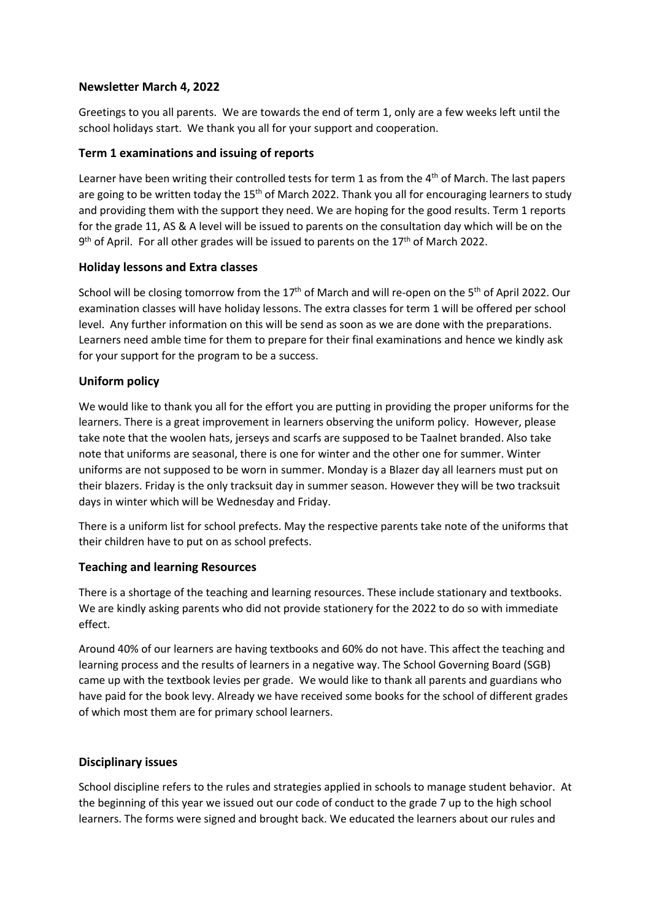## **Newsletter March 4, 2022**

Greetings to you all parents. We are towards the end of term 1, only are a few weeks left until the school holidays start. We thank you all for your support and cooperation.

## **Term 1 examinations and issuing of reports**

Learner have been writing their controlled tests for term 1 as from the 4<sup>th</sup> of March. The last papers are going to be written today the 15<sup>th</sup> of March 2022. Thank you all for encouraging learners to study and providing them with the support they need. We are hoping for the good results. Term 1 reports for the grade 11, AS & A level will be issued to parents on the consultation day which will be on the 9<sup>th</sup> of April. For all other grades will be issued to parents on the 17<sup>th</sup> of March 2022.

## **Holiday lessons and Extra classes**

School will be closing tomorrow from the 17<sup>th</sup> of March and will re-open on the 5<sup>th</sup> of April 2022. Our examination classes will have holiday lessons. The extra classes for term 1 will be offered per school level. Any further information on this will be send as soon as we are done with the preparations. Learners need amble time for them to prepare for their final examinations and hence we kindly ask for your support for the program to be a success.

## **Uniform policy**

We would like to thank you all for the effort you are putting in providing the proper uniforms for the learners. There is a great improvement in learners observing the uniform policy. However, please take note that the woolen hats, jerseys and scarfsare supposed to be Taalnet branded. Also take note that uniforms are seasonal, there is one for winter and the other one for summer. Winter uniforms are not supposed to be worn in summer. Monday is a Blazer day all learners must put on their blazers. Friday is the only tracksuit day in summer season. However they will be two tracksuit days in winter which will be Wednesday and Friday.

There is a uniform list for school prefects. May the respective parents take note of the uniforms that their children have to put on as school prefects.

# **Teaching and learning Resources**

There is a shortage of the teaching and learning resources. These include stationary and textbooks. We are kindly asking parents who did not provide stationery for the 2022 to do so with immediate effect.

Around 40% of our learners are having textbooks and 60% do not have. This affect the teaching and learning process and the results of learners in a negative way. The School Governing Board (SGB) came up with the textbook levies per grade. We would like to thank all parents and guardians who have paid for the book levy. Already we have received some books for the school of different grades of which most them are for primary school learners.

## **Disciplinary issues**

School discipline refers to the rules and strategies applied in schools to manage student behavior. At the beginning of this year we issued out our code of conduct to the grade 7 up to the high school learners. The forms were signed and brought back. We educated the learners about our rules and